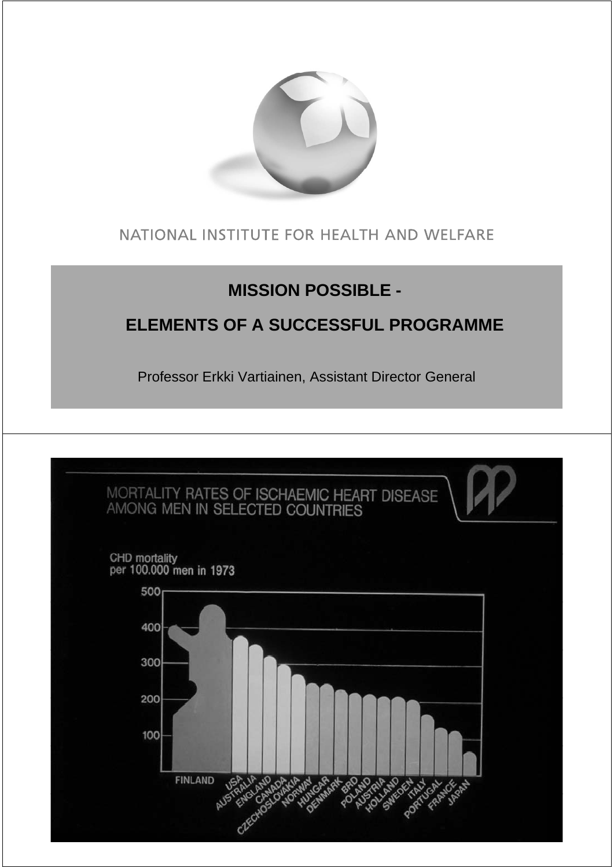

### NATIONAL INSTITUTE FOR HEALTH AND WELFARE

## **MISSION POSSIBLE -**

## **ELEMENTS OF A SUCCESSFUL PROGRAMME**

Professor Erkki Vartiainen, Assistant Director General

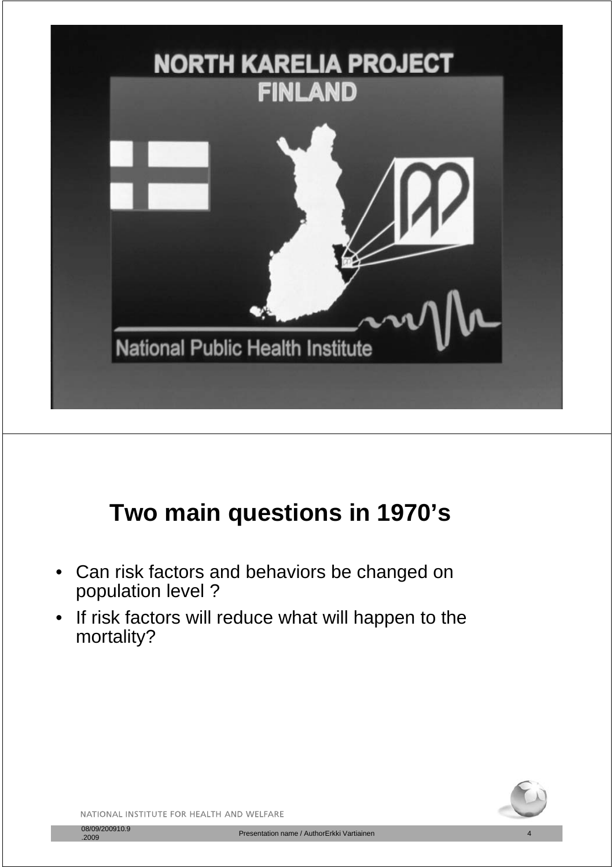

# **T i ti i 1970' Two main questions in 1970's**

- Can risk factors and behaviors be changed on population level ?
- If risk factors will reduce what will happen to the mortality?

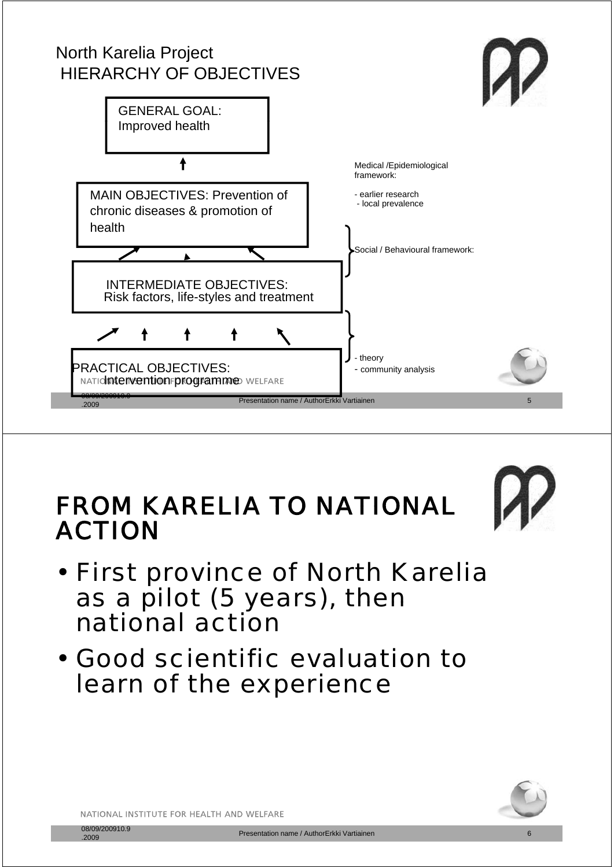## North Karelia Project HIERARCHY OF OBJECTIVES





# FROM KARELIA TO NATIONAL ACTION

- First province of North Karelia as a pilot (5 years), then national action
- Good scientific evaluation to learn of the experience

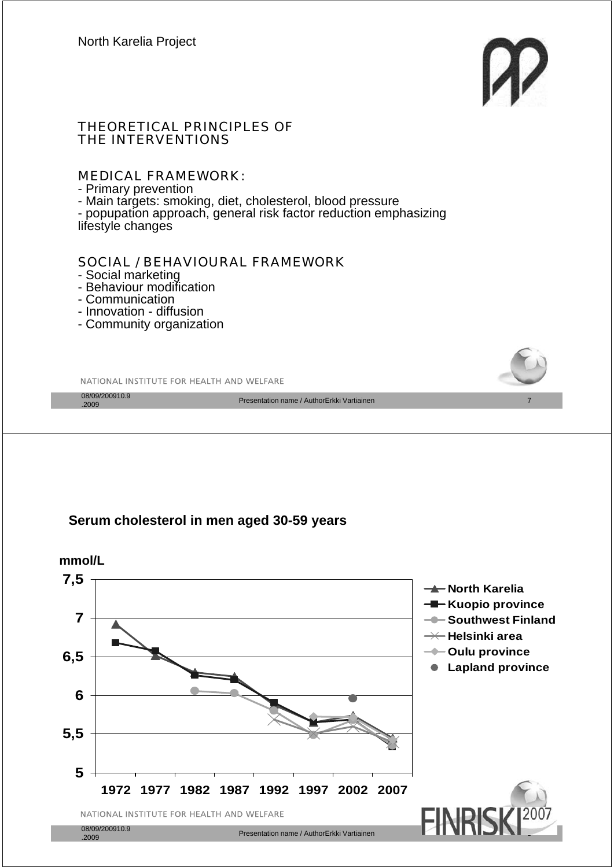

#### THEORETICAL PRINCIPLES OF THE INTERVENTIONS

#### MEDICAL FRAMEWORK:

#### - Primary prevention

- Main targets: smoking, diet, cholesterol, blood pressure

- popupation approach, general risk factor reduction emphasizing<br>lifestyle changes

#### SOCIAL / BEHAVIOURAL FRAMEWORK

- Social marketing
- Behaviour modification
- Communication
- Innovation diffusion
- Community organization



**1972 1977 1982 1987 1992 1997 2002 2007**

NATIONAL INSTITUTE FOR HEALTH AND WELFARE

Presentation name / AuthorErkki Vartiainen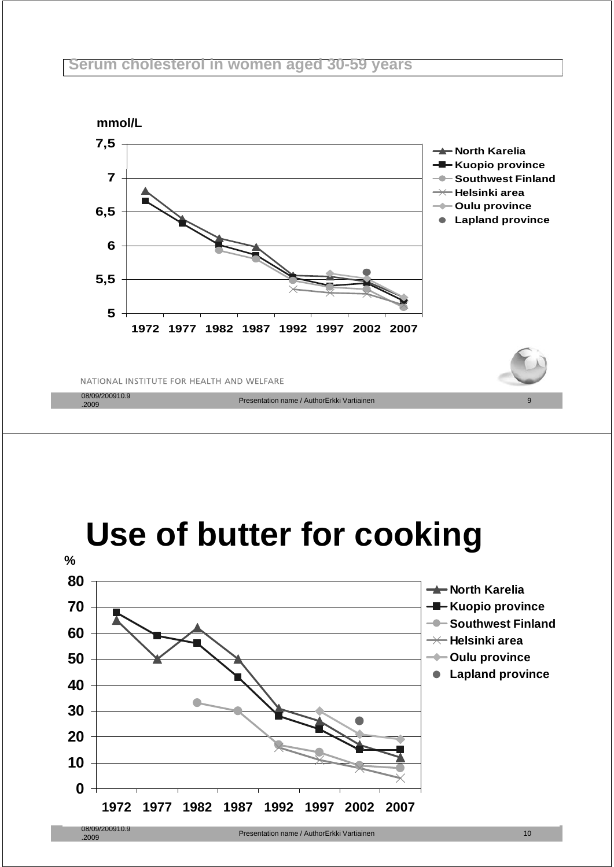#### **Serum cholesterol in women aged 30-59 years**



# **Use of butter for cooking**

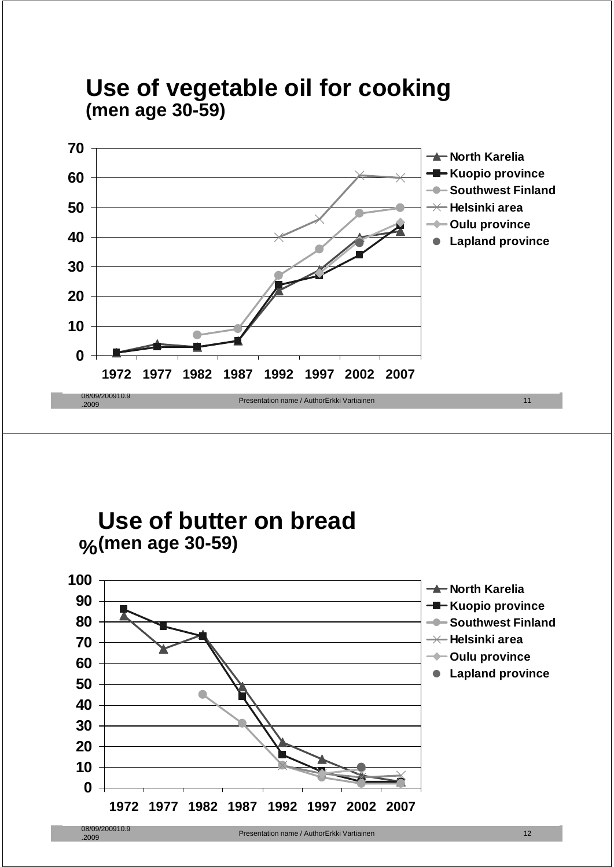

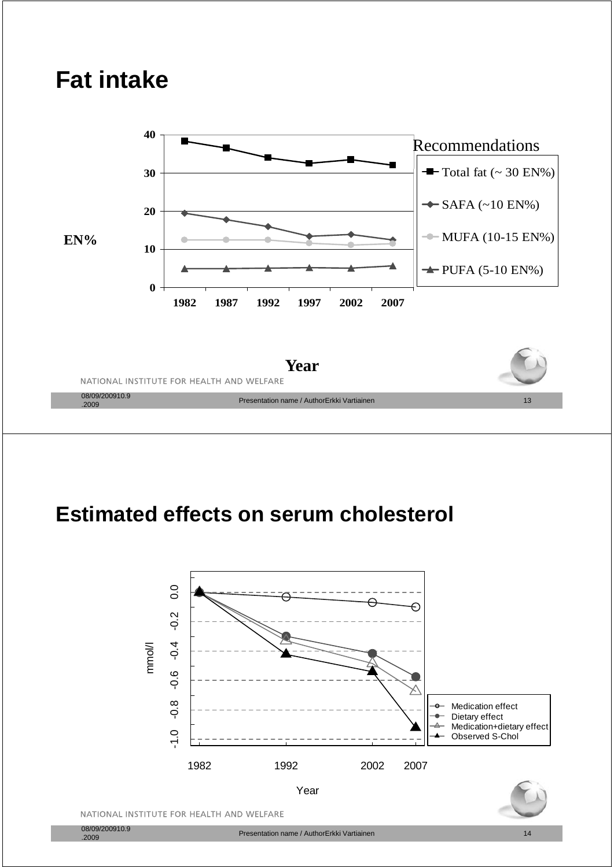# **Fat intake**

**40**

 $\overline{\mathbf{30}}$   $\overline{\phantom{0}}$   $\overline{\phantom{0}}$   $\overline{\phantom{0}}$   $\overline{\phantom{0}}$   $\overline{\phantom{0}}$   $\overline{\phantom{0}}$   $\overline{\phantom{0}}$   $\overline{\phantom{0}}$   $\overline{\phantom{0}}$   $\overline{\phantom{0}}$   $\overline{\phantom{0}}$   $\overline{\phantom{0}}$   $\overline{\phantom{0}}$   $\overline{\phantom{0}}$   $\overline{\phantom{0}}$   $\overline{\phantom{0}}$   $\overline{\phantom{0}}$   $\overline$ Recommendations **20**  $\rightarrow$  SAFA (~10 EN%) **10**  $EN\%$   $\parallel$   $\sim$  MUFA (10-15 EN%) **0 1982 1987 1992 1997 2002 2007**  $\rightarrow$ PUFA (5-10 EN%) **Y ear**

NATIONAL INSTITUTE FOR HEALTH AND WELFARE

08/09/200910.9<br>.2009

## **Estimated effects on serum cholesterol**



entation name / AuthorErkki Vartiainen 13 auszulia 13 ausztuszten 13 ausztuszten 13 ausztuszten 13 ausztuszten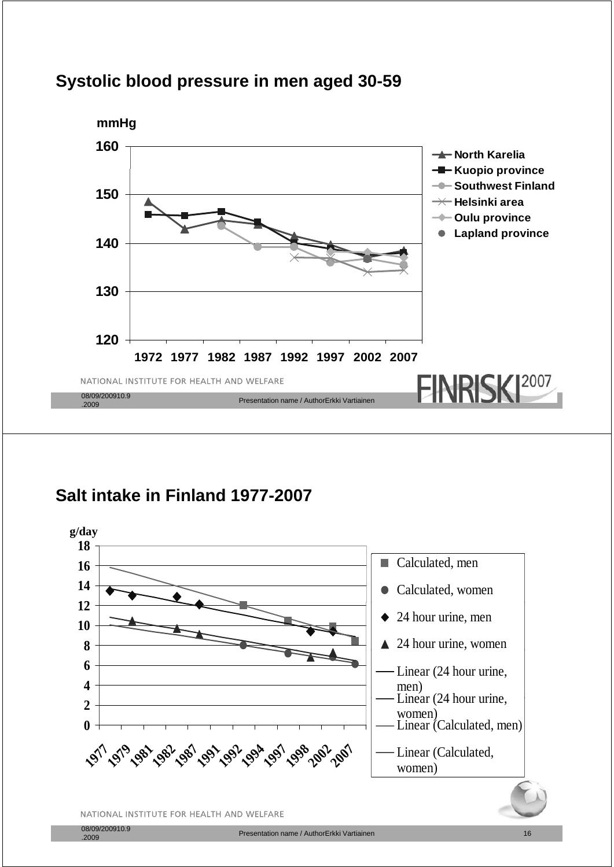



### **Salt intake in Finland 1977-2007**

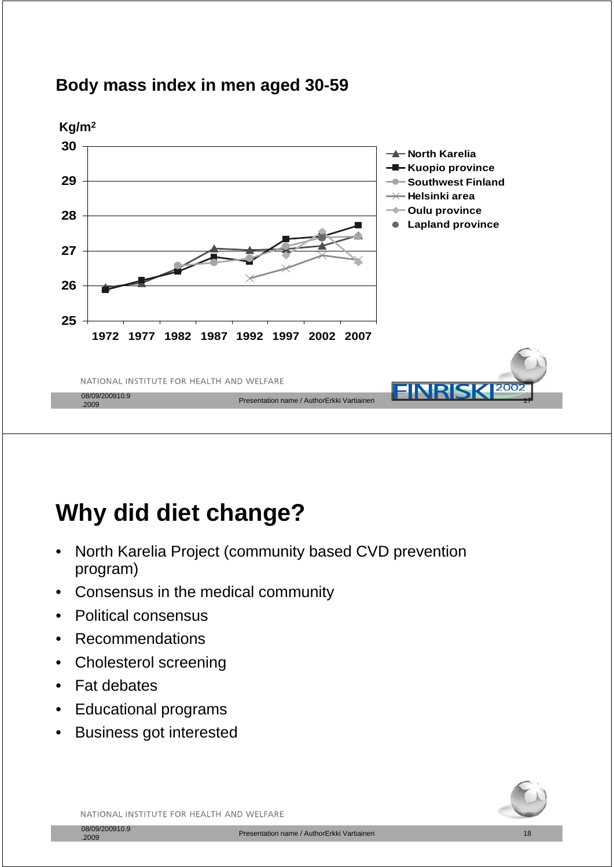



# **Why did diet change?**

- North Karelia Project (community based CVD prevention program)
- Consensus in the medical community
- Political consensus
- **Recommendations**
- Cholesterol screening
- **Fat debates**
- Educational programs
- Business got interested



NATIONAL INSTITUTE FOR HEALTH AND WELFARE

08/09/200910.9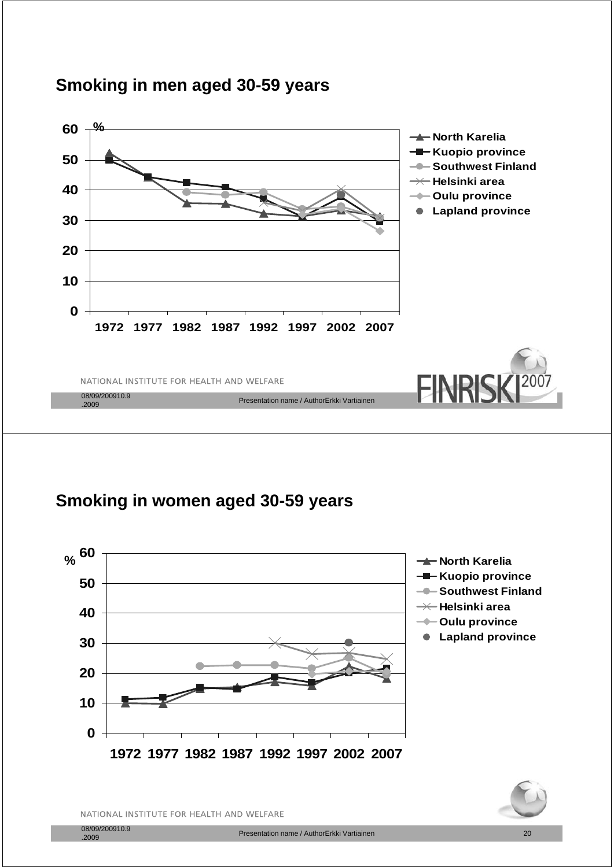

### **Smoking in men aged 30-59 years**

### **Smoking in women aged 30 Smoking in women aged 30-59 years 59**



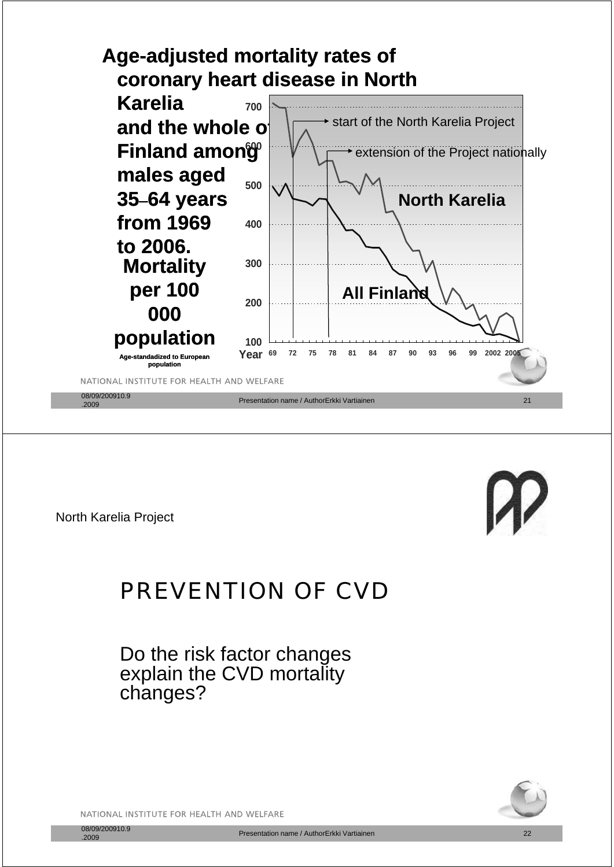



North Karelia Project

## PREVENTION OF CVD

Do the risk factor changes explain the CVD mortality changes?

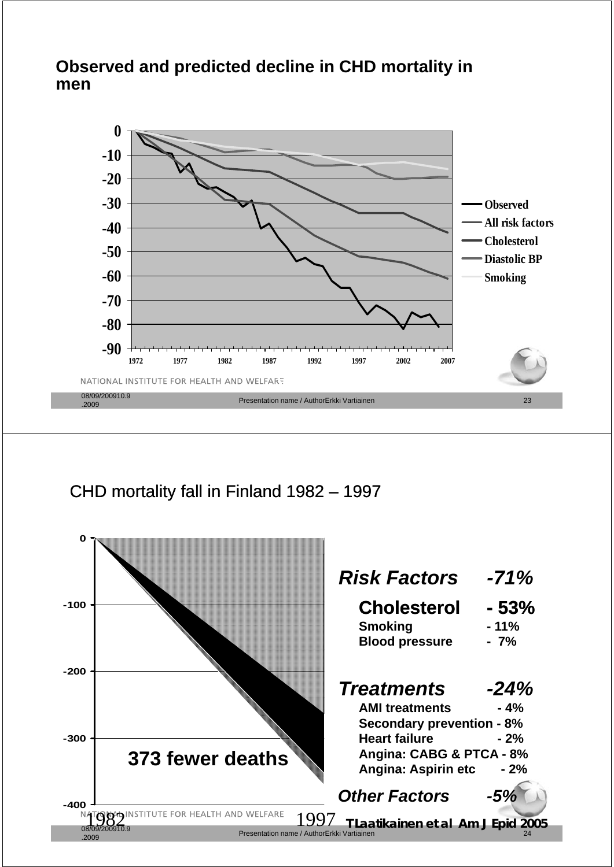#### **Observed and predicted decline in CHD mortality in men**



CHD mortality fall in Finland 1982 – 1997

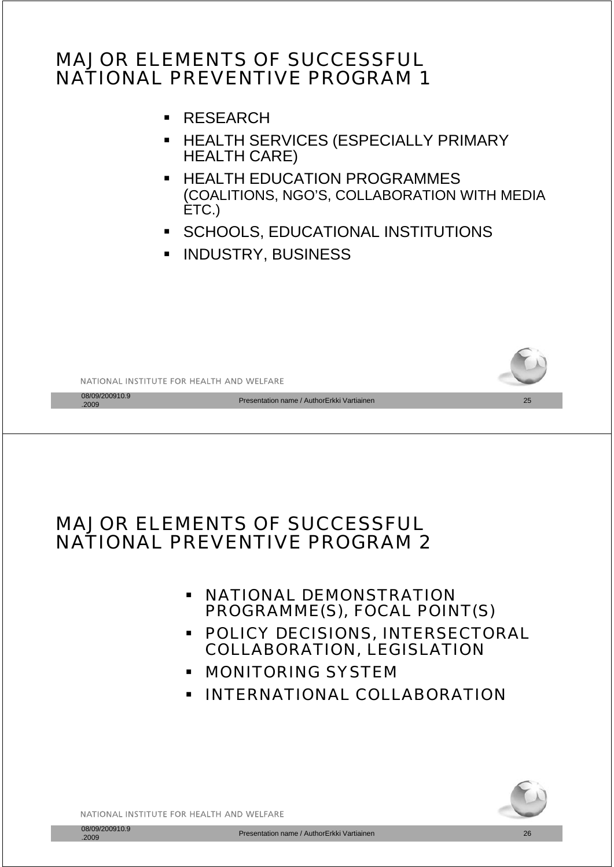## MAJOR ELEMENTS OF SUCCESSFUL NATIONAL PREVENTIVE PROGRAM 1

- RESEARCH
- **E HEALTH SERVICES (ESPECIALLY PRIMARY** HEALTH CARE)
- **EXECUTE EDUCATION PROGRAMMES** (COALITIONS, NGO'S, COLLABORATION WITH MEDIA ETC.)
- **SCHOOLS, EDUCATIONAL INSTITUTIONS**
- **INDUSTRY, BUSINESS**



### MAJOR ELEMENTS OF SUCCESSFUL NATIONAL PREVENTIVE PROGRAM 2

- **NATIONAL DEMONSTRATION** PROGRAMME(S), FOCAL POINT(S)
- **POLICY DECISIONS, INTERSECTORAL** COLLABORATION, LEGISLATION
- **E MONITORING SYSTEM**
- **· INTERNATIONAL COLLABORATION**